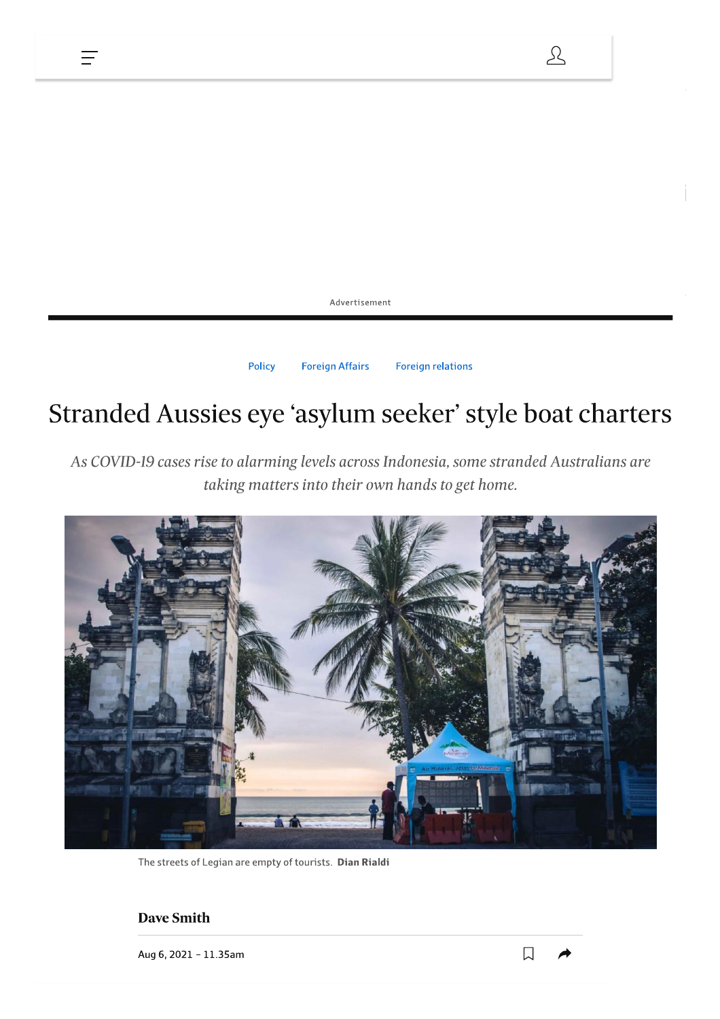

# Stranded Aussies eye 'asylum seeker' style boat charters

As COVID-19 cases rise to alarming levels across Indonesia, some stranded Australians are taking matters into their own hands to get home.



The streets of Legian are empty of tourists. Dian Rialdi

#### **Dave Smith**

Ξ

Aug 6, 2021 - 11.35am

 $\mathcal{L}$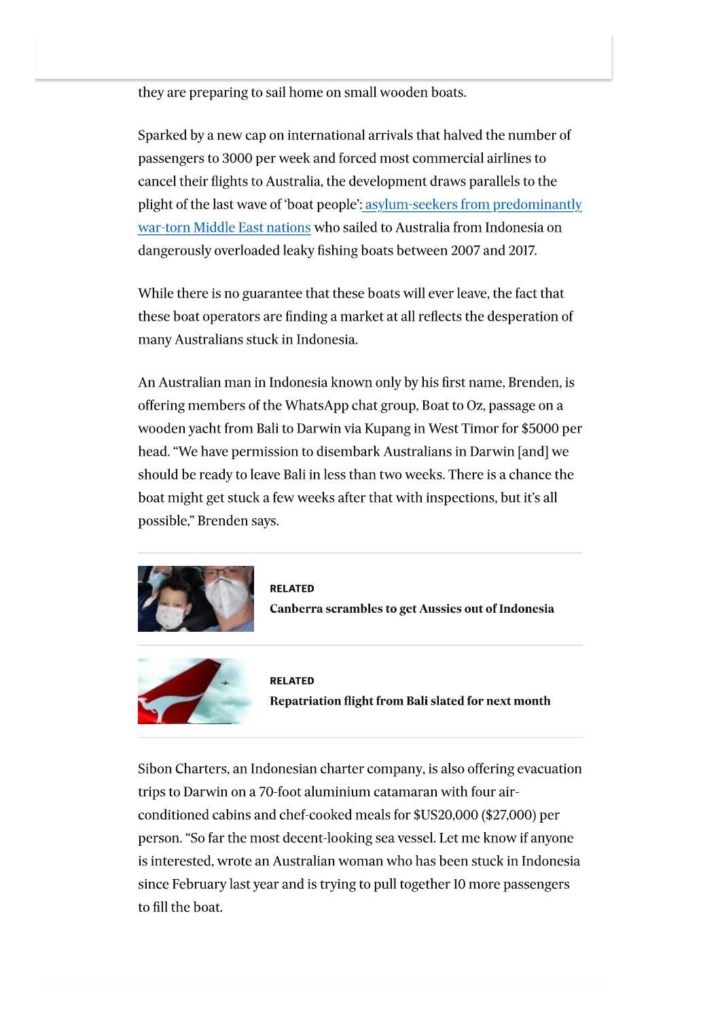they are preparing to sail home on small wooden boats.

Sparked by a new cap on international arrivals that halved the number of passengers to 3000 per week and forced most commercial airlines to cancel their flights to Australia, the development draws parallels to the plight of the last wave of 'boat people'; asylum-seekers from predominantly war-torn Middle East nations who sailed to Australia from Indonesia on dangerously overloaded leaky fishing boats between 2007 and 2017.

While there is no guarantee that these boats will ever leave, the fact that these boat operators are finding a market at all reflects the desperation of many Australians stuck in Indonesia.

An Australian man in Indonesia known only by his first name, Brenden, is offering members of the WhatsApp chat group, Boat to Oz, passage on a wooden yacht from Bali to Darwin via Kupang in West Timor for \$5000 per head. "We have permission to disembark Australians in Darwin [and] we should be ready to leave Bali in less than two weeks. There is a chance the boat might get stuck a few weeks after that with inspections, but it's all possible," Brenden says.







**RELATED** Repatriation flight from Bali slated for next month

Sibon Charters, an Indonesian charter company, is also offering evacuation trips to Darwin on a 70-foot aluminium catamaran with four airconditioned cabins and chef-cooked meals for \$US20,000 (\$27,000) per person. "So far the most decent-looking sea vessel. Let me know if anyone is interested, wrote an Australian woman who has been stuck in Indonesia since February last year and is trying to pull together 10 more passengers to fill the boat.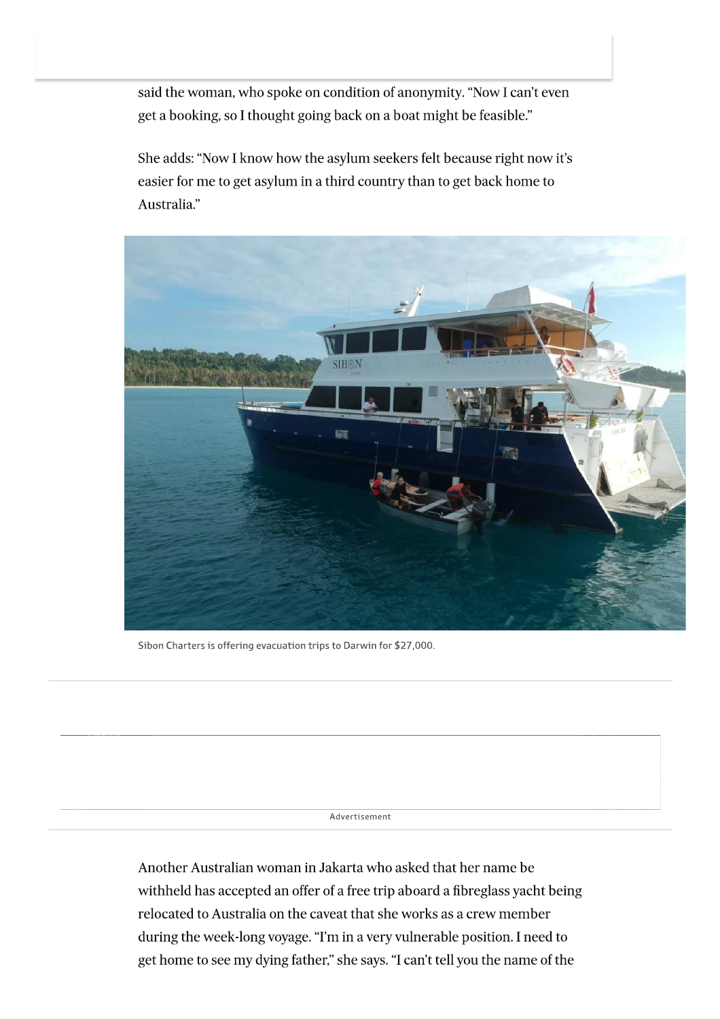said the woman, who spoke on condition of anonymity. "Now I can't even get a booking, so I thought going back on a boat might be feasible."

She adds: "Now I know how the asylum seekers felt because right now it's easier for me to get asylum in a third country than to get back home to Australia."



Sibon Charters is offering evacuation trips to Darwin for \$27,000.

Advertisement

Another Australian woman in Jakarta who asked that her name be withheld has accepted an offer of a free trip aboard a fibreglass yacht being relocated to Australia on the caveat that she works as a crew member during the week-long voyage. "I'm in a very vulnerable position. I need to get home to see my dying father," she says. "I can't tell you the name of the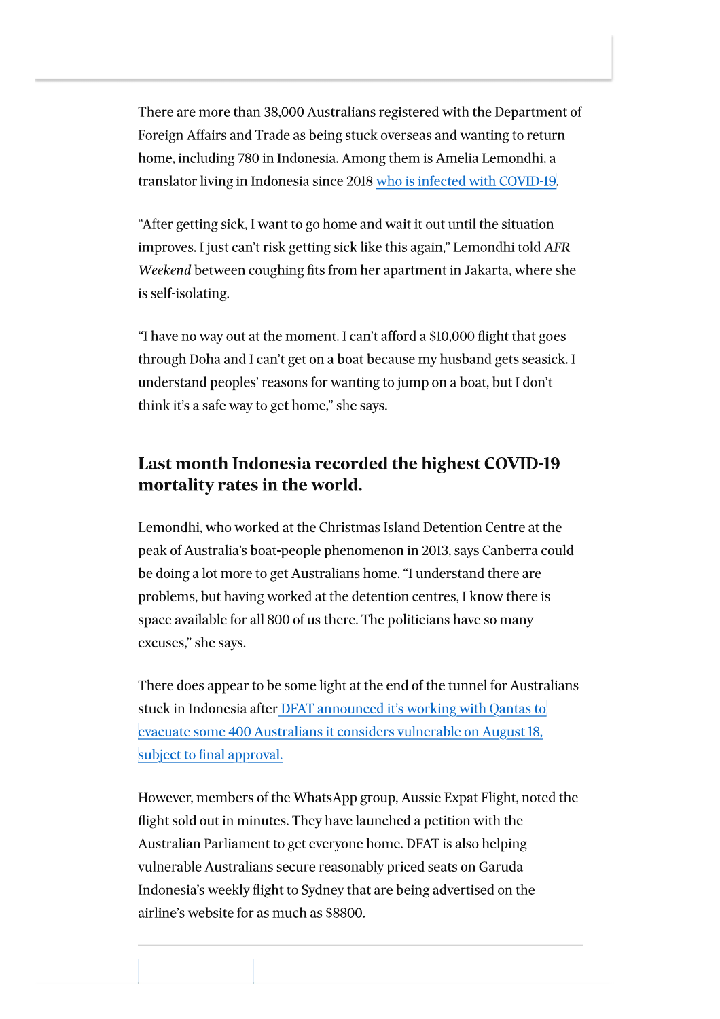There are more than 38,000 Australians registered with the Department of Foreign Affairs and Trade as being stuck overseas and wanting to return home, including 780 in Indonesia. Among them is Amelia Lemondhi, a translator living in Indonesia since 2018 who is infected with COVID-19.

"After getting sick, I want to go home and wait it out until the situation improves. I just can't risk getting sick like this again," Lemondhi told AFR Weekend between coughing fits from her apartment in Jakarta, where she is self-isolating.

"I have no way out at the moment. I can't afford a \$10,000 flight that goes through Doha and I can't get on a boat because my husband gets seasick. I understand peoples' reasons for wanting to jump on a boat, but I don't think it's a safe way to get home," she says.

## Last month Indonesia recorded the highest COVID-19 mortality rates in the world.

Lemondhi, who worked at the Christmas Island Detention Centre at the peak of Australia's boat-people phenomenon in 2013, says Canberra could be doing a lot more to get Australians home. "I understand there are problems, but having worked at the detention centres, I know there is space available for all 800 of us there. The politicians have so many excuses," she says.

There does appear to be some light at the end of the tunnel for Australians stuck in Indonesia after DFAT announced it's working with Qantas to evacuate some 400 Australians it considers vulnerable on August 18, subject to final approval.

However, members of the WhatsApp group, Aussie Expat Flight, noted the flight sold out in minutes. They have launched a petition with the Australian Parliament to get everyone home. DFAT is also helping vulnerable Australians secure reasonably priced seats on Garuda Indonesia's weekly flight to Sydney that are being advertised on the airline's website for as much as \$8800.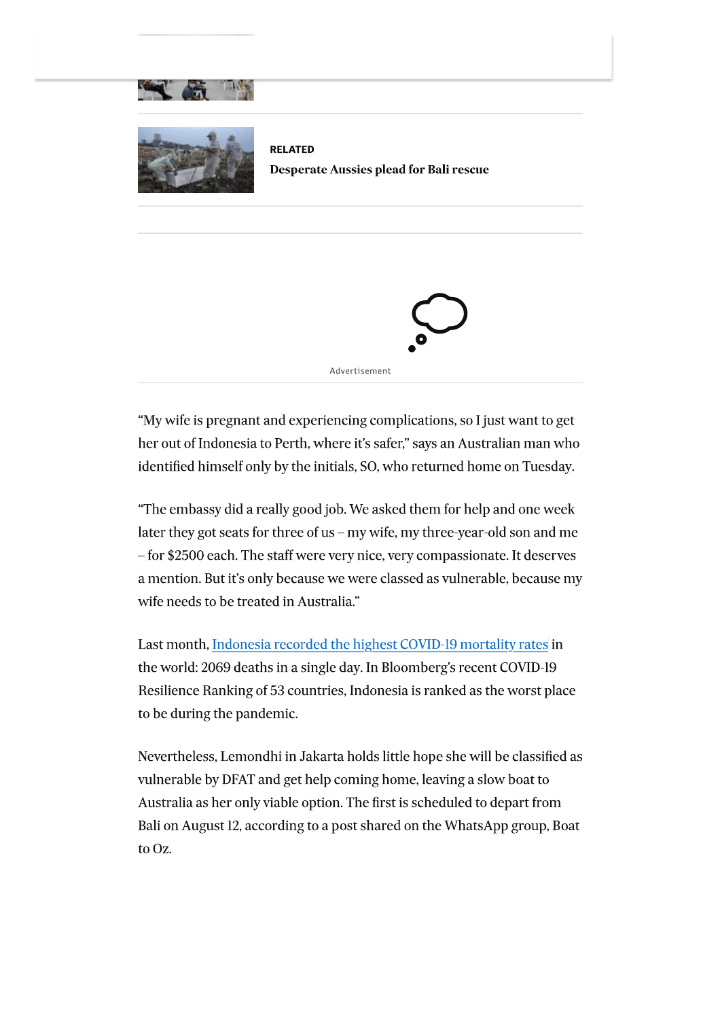

**RELATED Desperate Aussies plead for Bali rescue** 



"My wife is pregnant and experiencing complications, so I just want to get her out of Indonesia to Perth, where it's safer," says an Australian man who identified himself only by the initials, SO, who returned home on Tuesday.

"The embassy did a really good job. We asked them for help and one week later they got seats for three of us - my wife, my three-year-old son and me - for \$2500 each. The staff were very nice, very compassionate. It deserves a mention. But it's only because we were classed as vulnerable, because my wife needs to be treated in Australia."

Last month, Indonesia recorded the highest COVID-19 mortality rates in the world: 2069 deaths in a single day. In Bloomberg's recent COVID-19 Resilience Ranking of 53 countries, Indonesia is ranked as the worst place to be during the pandemic.

Nevertheless, Lemondhi in Jakarta holds little hope she will be classified as vulnerable by DFAT and get help coming home, leaving a slow boat to Australia as her only viable option. The first is scheduled to depart from Bali on August 12, according to a post shared on the WhatsApp group, Boat to Oz.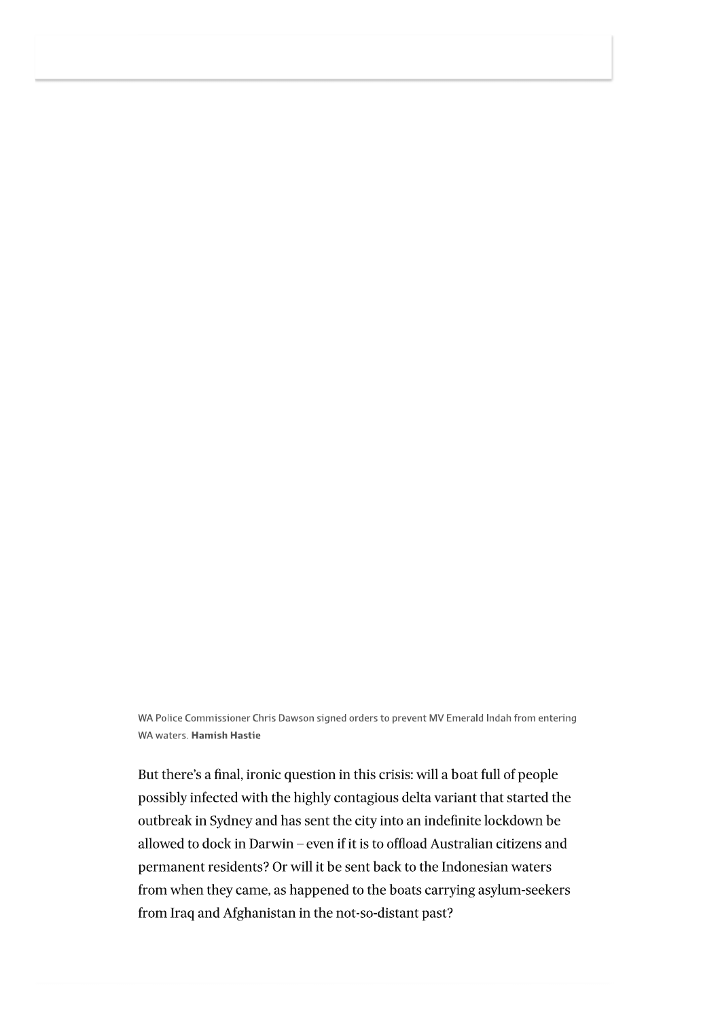WA Police Commissioner Chris Dawson signed orders to prevent MV Emerald Indah from entering WA waters. Hamish Hastie

But there's a final, ironic question in this crisis: will a boat full of people possibly infected with the highly contagious delta variant that started the outbreak in Sydney and has sent the city into an indefinite lockdown be allowed to dock in Darwin - even if it is to offload Australian citizens and permanent residents? Or will it be sent back to the Indonesian waters from when they came, as happened to the boats carrying asylum-seekers from Iraq and Afghanistan in the not-so-distant past?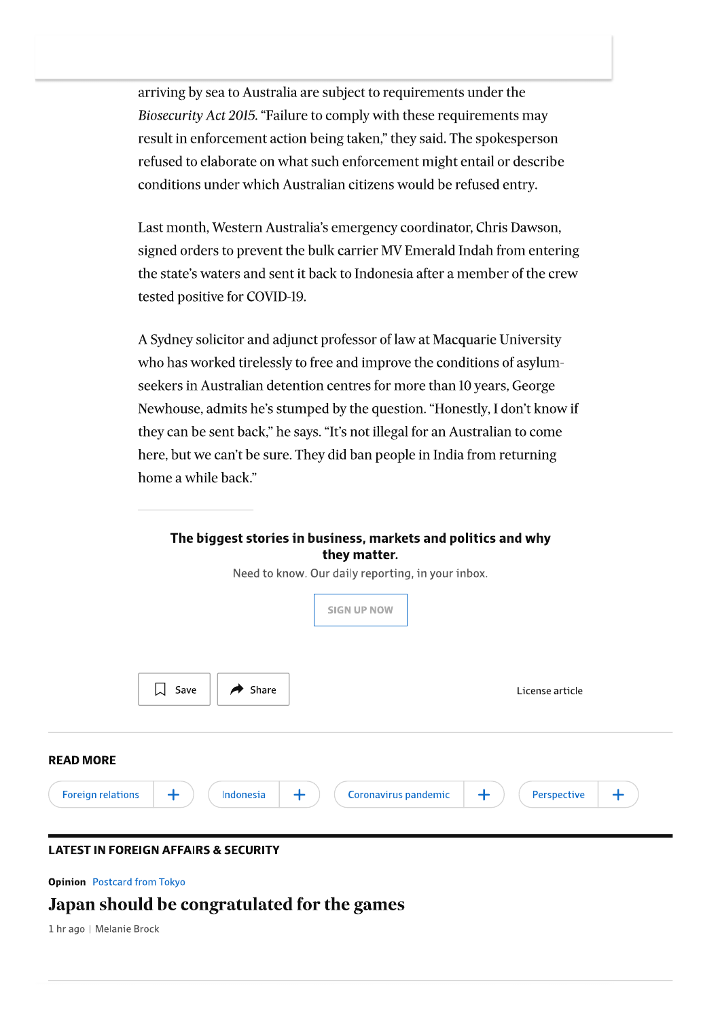arriving by sea to Australia are subject to requirements under the Biosecurity Act 2015. "Failure to comply with these requirements may result in enforcement action being taken," they said. The spokesperson refused to elaborate on what such enforcement might entail or describe conditions under which Australian citizens would be refused entry.

Last month, Western Australia's emergency coordinator, Chris Dawson, signed orders to prevent the bulk carrier MV Emerald Indah from entering the state's waters and sent it back to Indonesia after a member of the crew tested positive for COVID-19.

A Sydney solicitor and adjunct professor of law at Macquarie University who has worked tirelessly to free and improve the conditions of asylumseekers in Australian detention centres for more than 10 years, George Newhouse, admits he's stumped by the question. "Honestly, I don't know if they can be sent back," he says. "It's not illegal for an Australian to come here, but we can't be sure. They did ban people in India from returning home a while back."

| The biggest stories in business, markets and politics and why<br>they matter. |                                                       |
|-------------------------------------------------------------------------------|-------------------------------------------------------|
| Need to know. Our daily reporting, in your inbox.                             |                                                       |
| <b>SIGN UP NOW</b>                                                            |                                                       |
| $\bigcup$ Save<br>Share<br>A                                                  | License article                                       |
| <b>READ MORE</b>                                                              |                                                       |
| $\ddag$<br>$+$<br><b>Foreign relations</b><br>Indonesia                       | Coronavirus pandemic<br>$\pm$<br>Perspective<br>$\pm$ |
| I ATFST IN FORFIGN AFFAIRS & SFCURITY                                         |                                                       |

**Opinion** Postcard from Tokyo

## Japan should be congratulated for the games

1 hr ago | Melanie Brock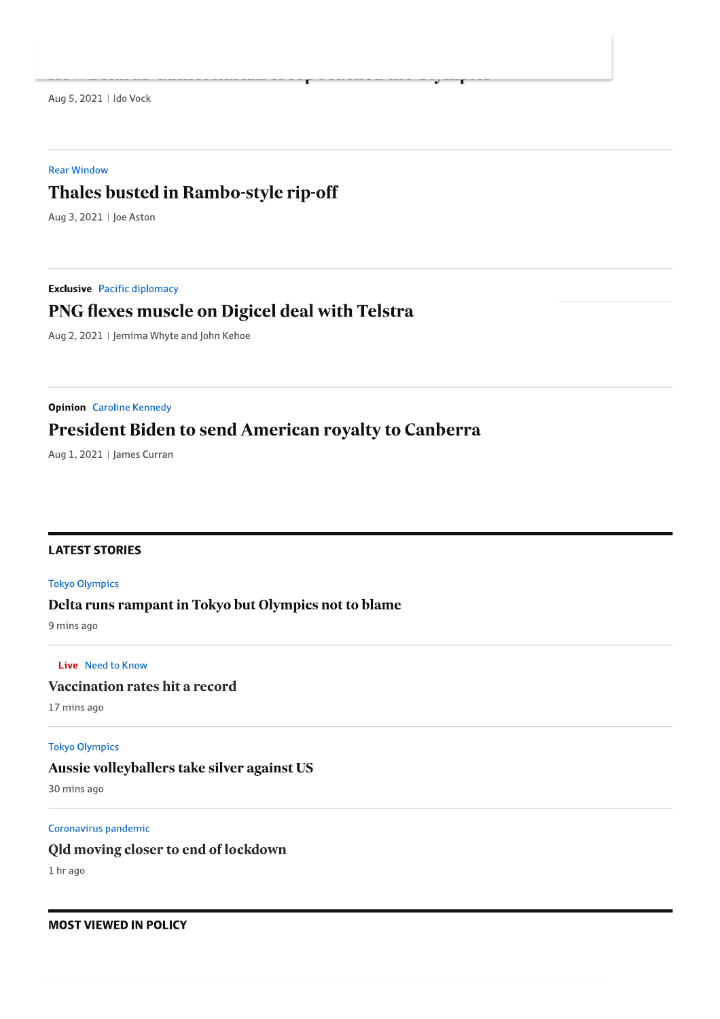Aug 5, 2021 | Ido Vock

#### **Rear Window**

## Thales busted in Rambo-style rip-off

Aug 3, 2021 | Joe Aston

**Exclusive** Pacific diplomacy

## PNG flexes muscle on Digicel deal with Telstra

Aug 2, 2021 | Jemima Whyte and John Kehoe

**Opinion** Caroline Kennedy

## **President Biden to send American royalty to Canberra**

Aug 1, 2021 | James Curran

#### **LATEST STORIES**

#### **Tokyo Olympics**

#### Delta runs rampant in Tokyo but Olympics not to blame

9 mins ago

#### Live Need to Know

### **Vaccination rates hit a record**

17 mins ago

#### **Tokyo Olympics**

#### Aussie volleyballers take silver against US

30 mins ago

#### Coronavirus pandemic

#### Qld moving closer to end of lockdown

1 hr ago

#### **MOST VIEWED IN POLICY**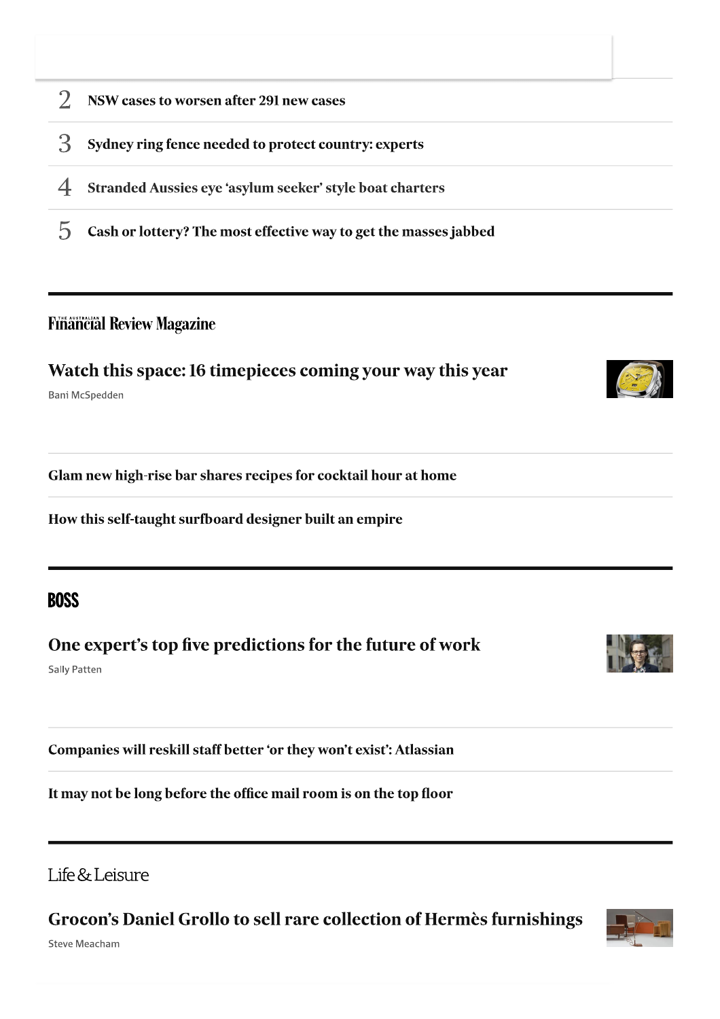- $\overline{2}$ NSW cases to worsen after 291 new cases
- 3 Sydney ring fence needed to protect country: experts
- $\overline{4}$ Stranded Aussies eye 'asylum seeker' style boat charters
- 5 Cash or lottery? The most effective way to get the masses jabbed

## **Financial Review Magazine**

Watch this space: 16 timepieces coming your way this year

Bani McSpedden

Glam new high-rise bar shares recipes for cocktail hour at home

How this self-taught surfboard designer built an empire

## **BOSS**

One expert's top five predictions for the future of work

**Sally Patten** 

Companies will reskill staff better 'or they won't exist': Atlassian

It may not be long before the office mail room is on the top floor



Grocon's Daniel Grollo to sell rare collection of Hermès furnishings

**Steve Meacham** 



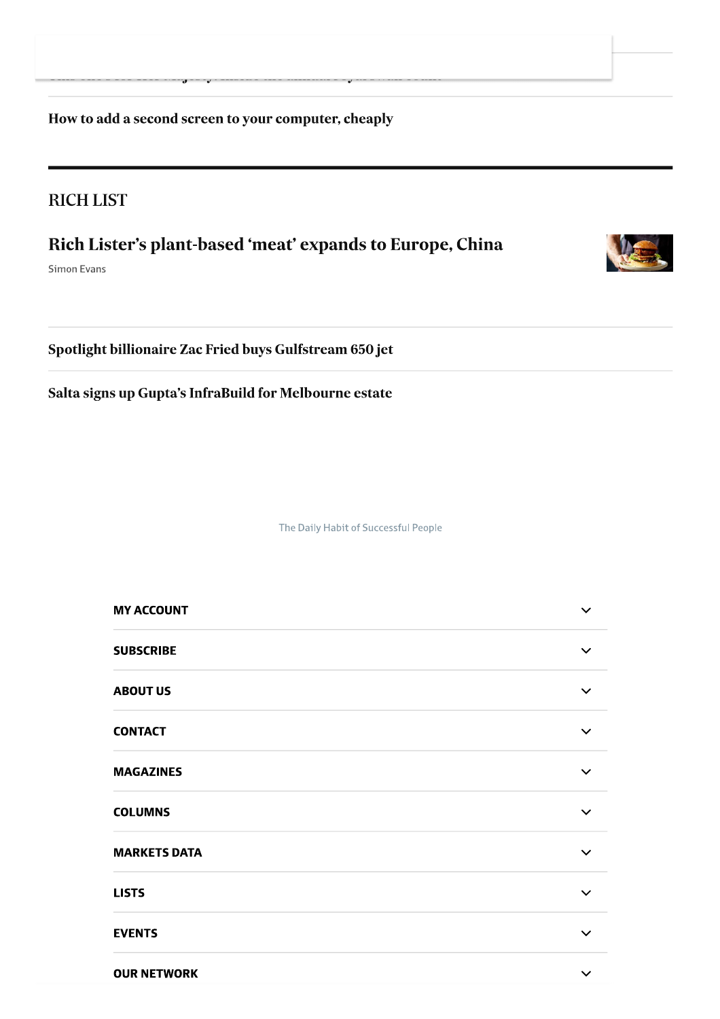How to add a second screen to your computer, cheaply

## **RICH LIST**

## Rich Lister's plant-based 'meat' expands to Europe, China

Simon Evans

Spotlight billionaire Zac Fried buys Gulfstream 650 jet

Salta signs up Gupta's InfraBuild for Melbourne estate

The Daily Habit of Successful People

| <b>MY ACCOUNT</b>   | $\checkmark$ |
|---------------------|--------------|
| <b>SUBSCRIBE</b>    | $\checkmark$ |
| <b>ABOUT US</b>     | $\checkmark$ |
| <b>CONTACT</b>      | $\checkmark$ |
| <b>MAGAZINES</b>    | $\checkmark$ |
| <b>COLUMNS</b>      | $\checkmark$ |
| <b>MARKETS DATA</b> | $\checkmark$ |
| <b>LISTS</b>        | $\checkmark$ |
| <b>EVENTS</b>       | $\checkmark$ |
| <b>OUR NETWORK</b>  | $\checkmark$ |
|                     |              |
|                     |              |